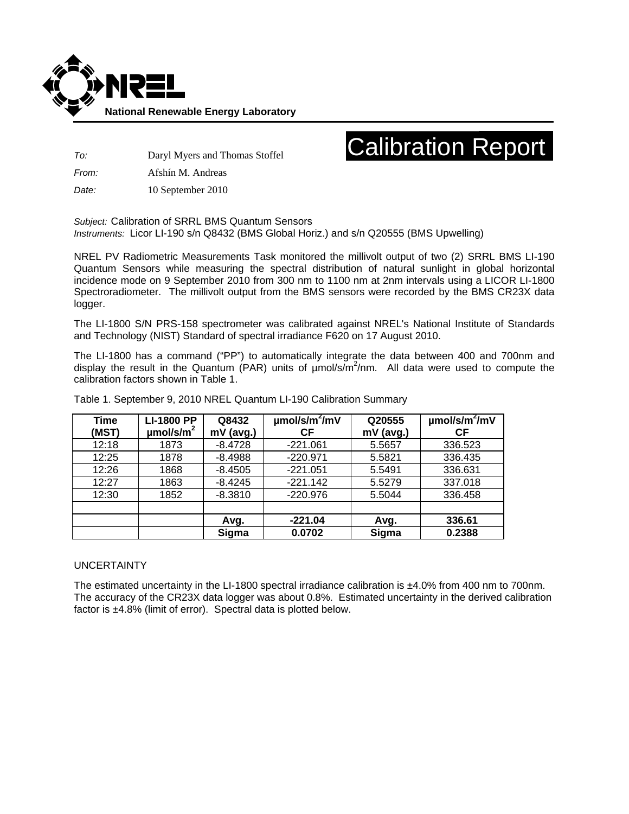

## Calibration Report

*To:* Daryl Myers and Thomas Stoffel

*From:* Afshín M. Andreas

*Date:* 10 September 2010

*Subject:* Calibration of SRRL BMS Quantum Sensors *Instruments:* Licor LI-190 s/n Q8432 (BMS Global Horiz.) and s/n Q20555 (BMS Upwelling)

NREL PV Radiometric Measurements Task monitored the millivolt output of two (2) SRRL BMS LI-190 Quantum Sensors while measuring the spectral distribution of natural sunlight in global horizontal incidence mode on 9 September 2010 from 300 nm to 1100 nm at 2nm intervals using a LICOR LI-1800 Spectroradiometer. The millivolt output from the BMS sensors were recorded by the BMS CR23X data logger.

The LI-1800 S/N PRS-158 spectrometer was calibrated against NREL's National Institute of Standards and Technology (NIST) Standard of spectral irradiance F620 on 17 August 2010.

The LI-1800 has a command ("PP") to automatically integrate the data between 400 and 700nm and display the result in the Quantum (PAR) units of umol/s/m<sup>2</sup>/nm. All data were used to compute the calibration factors shown in Table 1.

| <b>Time</b><br>(MST) | <b>LI-1800 PP</b><br>$\mu$ mol/s/m <sup>2</sup> | Q8432<br>mV (avg.) | $\mu$ mol/s/m <sup>2</sup> /mV<br><b>CF</b> | Q20555<br>mV (avg.) | $\mu$ mol/s/m <sup>2</sup> /mV<br>СF |
|----------------------|-------------------------------------------------|--------------------|---------------------------------------------|---------------------|--------------------------------------|
| 12:18                | 1873                                            | $-8.4728$          | $-221.061$                                  | 5.5657              | 336.523                              |
| 12:25                | 1878                                            | $-8.4988$          | $-220.971$                                  | 5.5821              | 336.435                              |
| 12:26                | 1868                                            | $-8.4505$          | $-221.051$                                  | 5.5491              | 336.631                              |
| 12:27                | 1863                                            | $-8.4245$          | $-221.142$                                  | 5.5279              | 337.018                              |
| 12:30                | 1852                                            | $-8.3810$          | $-220.976$                                  | 5.5044              | 336.458                              |
|                      |                                                 |                    |                                             |                     |                                      |
|                      |                                                 | Avg.               | $-221.04$                                   | Avg.                | 336.61                               |
|                      |                                                 | Sigma              | 0.0702                                      | Sigma               | 0.2388                               |

Table 1. September 9, 2010 NREL Quantum LI-190 Calibration Summary

## UNCERTAINTY

The estimated uncertainty in the LI-1800 spectral irradiance calibration is ±4.0% from 400 nm to 700nm. The accuracy of the CR23X data logger was about 0.8%. Estimated uncertainty in the derived calibration factor is ±4.8% (limit of error). Spectral data is plotted below.